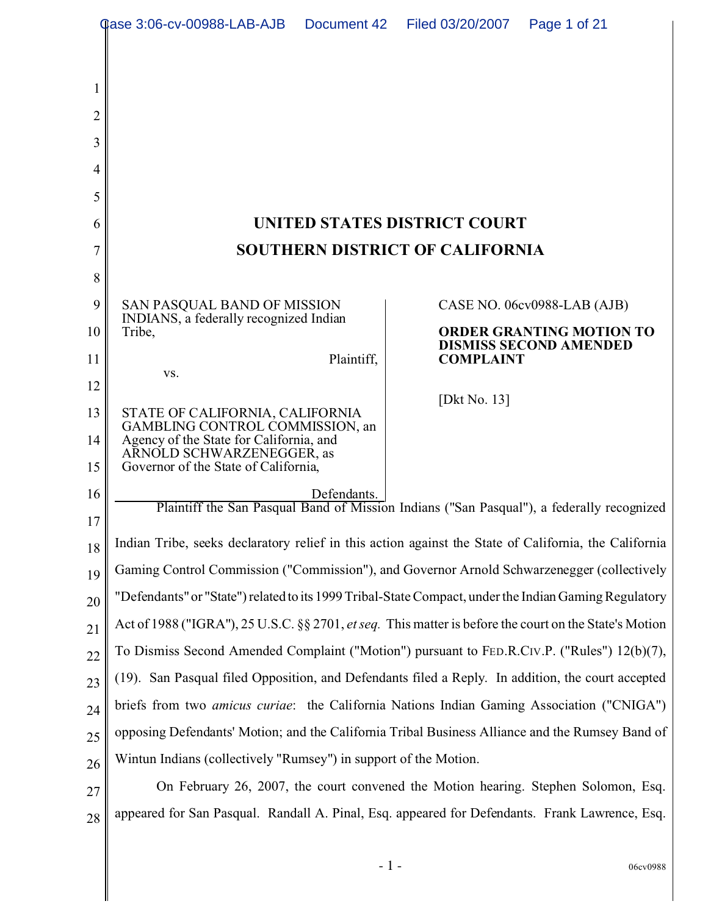|                | <b>Qase 3:06-cv-00988-LAB-AJB</b>                                                                             | Document 42 | Filed 03/20/2007 | Page 1 of 21                                                     |  |
|----------------|---------------------------------------------------------------------------------------------------------------|-------------|------------------|------------------------------------------------------------------|--|
| 1              |                                                                                                               |             |                  |                                                                  |  |
| $\overline{2}$ |                                                                                                               |             |                  |                                                                  |  |
| 3              |                                                                                                               |             |                  |                                                                  |  |
| 4              |                                                                                                               |             |                  |                                                                  |  |
| 5              |                                                                                                               |             |                  |                                                                  |  |
| 6              | UNITED STATES DISTRICT COURT                                                                                  |             |                  |                                                                  |  |
| 7              | <b>SOUTHERN DISTRICT OF CALIFORNIA</b>                                                                        |             |                  |                                                                  |  |
| 8              |                                                                                                               |             |                  |                                                                  |  |
| 9              | SAN PASQUAL BAND OF MISSION<br>INDIANS, a federally recognized Indian                                         |             |                  | CASE NO. 06cv0988-LAB (AJB)                                      |  |
| 10             | Tribe,                                                                                                        |             |                  | <b>ORDER GRANTING MOTION TO</b><br><b>DISMISS SECOND AMENDED</b> |  |
| 11             | VS.                                                                                                           | Plaintiff,  | <b>COMPLAINT</b> |                                                                  |  |
| 12             |                                                                                                               |             | [Dkt No. $13$ ]  |                                                                  |  |
| 13<br>14       | STATE OF CALIFORNIA, CALIFORNIA<br>GAMBLING CONTROL COMMISSION, an<br>Agency of the State for California, and |             |                  |                                                                  |  |
| 15             | ARNOLD SCHWARZENEGGER, as<br>Governor of the State of California,                                             |             |                  |                                                                  |  |
| 16<br>17       | Defendants.<br>Plaintiff the San Pasqual Band of Mission Indians ("San Pasqual"), a federally recognized      |             |                  |                                                                  |  |
| 18             | Indian Tribe, seeks declaratory relief in this action against the State of California, the California         |             |                  |                                                                  |  |
| 19             | Gaming Control Commission ("Commission"), and Governor Arnold Schwarzenegger (collectively                    |             |                  |                                                                  |  |
| 20             | "Defendants" or "State") related to its 1999 Tribal-State Compact, under the Indian Gaming Regulatory         |             |                  |                                                                  |  |
| 21             | Act of 1988 ("IGRA"), 25 U.S.C. §§ 2701, et seq. This matter is before the court on the State's Motion        |             |                  |                                                                  |  |
| 22             | To Dismiss Second Amended Complaint ("Motion") pursuant to FED.R.CIV.P. ("Rules") 12(b)(7),                   |             |                  |                                                                  |  |
| 23             | (19). San Pasqual filed Opposition, and Defendants filed a Reply. In addition, the court accepted             |             |                  |                                                                  |  |
| 24             | briefs from two <i>amicus curiae</i> : the California Nations Indian Gaming Association ("CNIGA")             |             |                  |                                                                  |  |
| 25             | opposing Defendants' Motion; and the California Tribal Business Alliance and the Rumsey Band of               |             |                  |                                                                  |  |
| 26             | Wintun Indians (collectively "Rumsey") in support of the Motion.                                              |             |                  |                                                                  |  |
| 27             | On February 26, 2007, the court convened the Motion hearing. Stephen Solomon, Esq.                            |             |                  |                                                                  |  |
| 28             | appeared for San Pasqual. Randall A. Pinal, Esq. appeared for Defendants. Frank Lawrence, Esq.                |             |                  |                                                                  |  |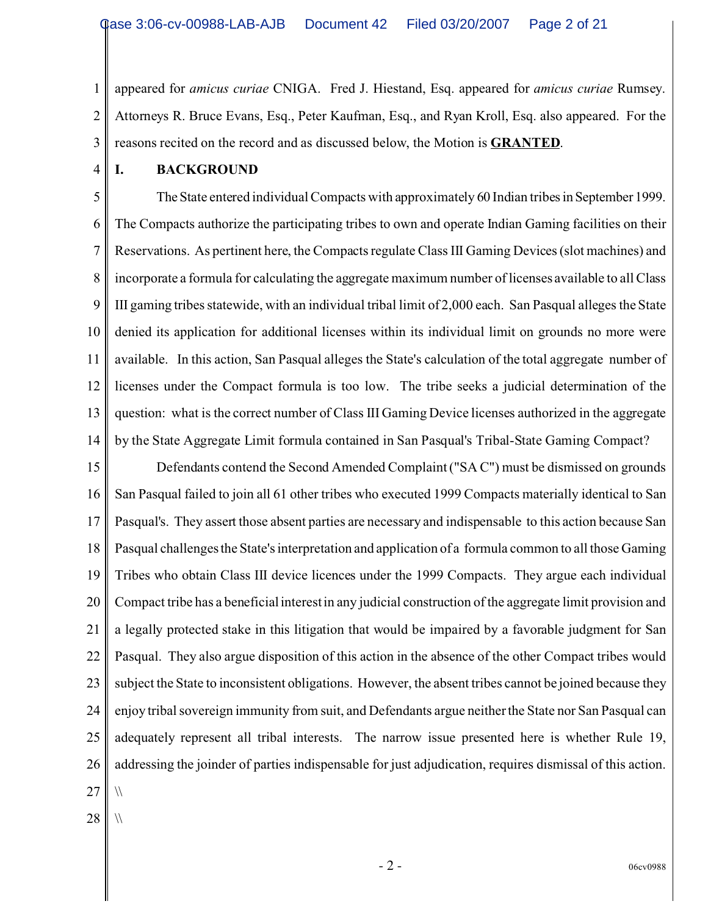1 2 3 appeared for *amicus curiae* CNIGA. Fred J. Hiestand, Esq. appeared for *amicus curiae* Rumsey. Attorneys R. Bruce Evans, Esq., Peter Kaufman, Esq., and Ryan Kroll, Esq. also appeared. For the reasons recited on the record and as discussed below, the Motion is **GRANTED**.

4

### **I. BACKGROUND**

5 6 7 8 9 10 11 12 13 14 The State entered individual Compacts with approximately 60 Indian tribes in September 1999. The Compacts authorize the participating tribes to own and operate Indian Gaming facilities on their Reservations. As pertinent here, the Compacts regulate Class III Gaming Devices (slot machines) and incorporate a formula for calculating the aggregate maximum number of licenses available to all Class III gaming tribes statewide, with an individual tribal limit of 2,000 each. San Pasqual alleges the State denied its application for additional licenses within its individual limit on grounds no more were available. In this action, San Pasqual alleges the State's calculation of the total aggregate number of licenses under the Compact formula is too low. The tribe seeks a judicial determination of the question: what is the correct number of Class III Gaming Device licenses authorized in the aggregate by the State Aggregate Limit formula contained in San Pasqual's Tribal-State Gaming Compact?

15 16 17 18 19 20 21 22 23 24 25 26 27 Defendants contend the Second Amended Complaint ("SA C") must be dismissed on grounds San Pasqual failed to join all 61 other tribes who executed 1999 Compacts materially identical to San Pasqual's. They assert those absent parties are necessary and indispensable to this action because San Pasqual challenges the State's interpretation and application of a formula common to all those Gaming Tribes who obtain Class III device licences under the 1999 Compacts. They argue each individual Compact tribe has a beneficial interest in any judicial construction of the aggregate limit provision and a legally protected stake in this litigation that would be impaired by a favorable judgment for San Pasqual. They also argue disposition of this action in the absence of the other Compact tribes would subject the State to inconsistent obligations. However, the absent tribes cannot be joined because they enjoy tribal sovereign immunity from suit, and Defendants argue neither the State nor San Pasqual can adequately represent all tribal interests. The narrow issue presented here is whether Rule 19, addressing the joinder of parties indispensable for just adjudication, requires dismissal of this action.  $\sqrt{}$ 

28

 $\sqrt{}$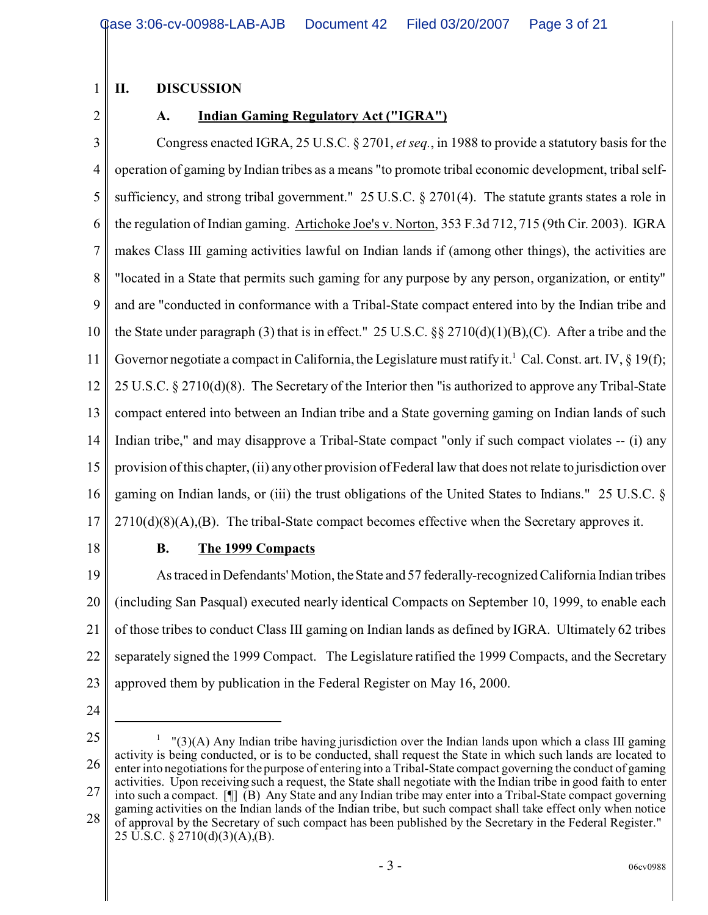## **II. DISCUSSION**

2

1

## **A. Indian Gaming Regulatory Act ("IGRA")**

3 4 5 6 7 8 9 10 11 12 13 14 15 16 17 Congress enacted IGRA, 25 U.S.C. § 2701, *et seq.*, in 1988 to provide a statutory basis for the operation of gaming by Indian tribes as a means "to promote tribal economic development, tribal selfsufficiency, and strong tribal government." 25 U.S.C. § 2701(4). The statute grants states a role in the regulation of Indian gaming. Artichoke Joe's v. Norton, 353 F.3d 712, 715 (9th Cir. 2003). IGRA makes Class III gaming activities lawful on Indian lands if (among other things), the activities are "located in a State that permits such gaming for any purpose by any person, organization, or entity" and are "conducted in conformance with a Tribal-State compact entered into by the Indian tribe and the State under paragraph (3) that is in effect." 25 U.S.C.  $\&$  2710(d)(1)(B),(C). After a tribe and the Governor negotiate a compact in California, the Legislature must ratify it.<sup>1</sup> Cal. Const. art. IV, § 19(f); 25 U.S.C. § 2710(d)(8). The Secretary of the Interior then "is authorized to approve any Tribal-State compact entered into between an Indian tribe and a State governing gaming on Indian lands of such Indian tribe," and may disapprove a Tribal-State compact "only if such compact violates -- (i) any provision of this chapter, (ii) any other provision of Federal law that does not relate to jurisdiction over gaming on Indian lands, or (iii) the trust obligations of the United States to Indians." 25 U.S.C. §  $2710(d)(8)(A)$ , (B). The tribal-State compact becomes effective when the Secretary approves it.

18

### **B. The 1999 Compacts**

19 20 21 22 23 As traced in Defendants' Motion, the State and 57 federally-recognized California Indian tribes (including San Pasqual) executed nearly identical Compacts on September 10, 1999, to enable each of those tribes to conduct Class III gaming on Indian lands as defined by IGRA. Ultimately 62 tribes separately signed the 1999 Compact. The Legislature ratified the 1999 Compacts, and the Secretary approved them by publication in the Federal Register on May 16, 2000.

- 24
- 25

26 27 28  $1$  "(3)(A) Any Indian tribe having jurisdiction over the Indian lands upon which a class III gaming activity is being conducted, or is to be conducted, shall request the State in which such lands are located to enter into negotiations for the purpose of entering into a Tribal-State compact governing the conduct of gaming activities. Upon receiving such a request, the State shall negotiate with the Indian tribe in good faith to enter into such a compact. [¶] (B) Any State and any Indian tribe may enter into a Tribal-State compact governing gaming activities on the Indian lands of the Indian tribe, but such compact shall take effect only when notice of approval by the Secretary of such compact has been published by the Secretary in the Federal Register." 25 U.S.C. § 2710(d)(3)(A),(B).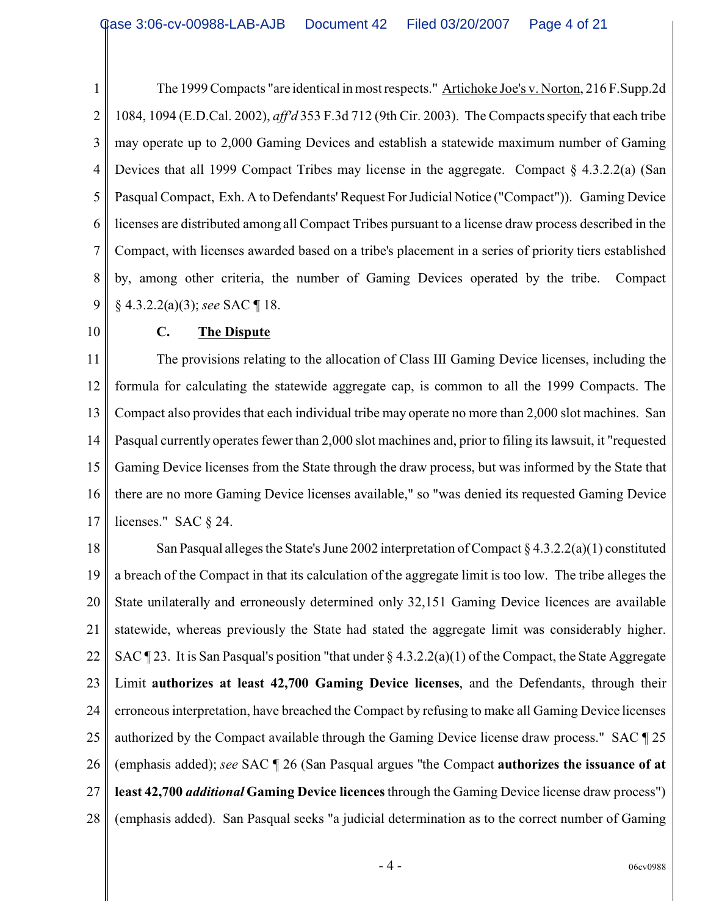1 2 3 4 5 6 7 8 9 The 1999 Compacts "are identical in most respects." Artichoke Joe's v. Norton, 216 F.Supp.2d 1084, 1094 (E.D.Cal. 2002), *aff'd* 353 F.3d 712 (9th Cir. 2003). The Compacts specify that each tribe may operate up to 2,000 Gaming Devices and establish a statewide maximum number of Gaming Devices that all 1999 Compact Tribes may license in the aggregate. Compact § 4.3.2.2(a) (San Pasqual Compact, Exh. A to Defendants' Request For Judicial Notice ("Compact")). Gaming Device licenses are distributed among all Compact Tribes pursuant to a license draw process described in the Compact, with licenses awarded based on a tribe's placement in a series of priority tiers established by, among other criteria, the number of Gaming Devices operated by the tribe. Compact § 4.3.2.2(a)(3); *see* SAC ¶ 18.

10

# **C. The Dispute**

11 12 13 14 15 16 17 The provisions relating to the allocation of Class III Gaming Device licenses, including the formula for calculating the statewide aggregate cap, is common to all the 1999 Compacts. The Compact also provides that each individual tribe may operate no more than 2,000 slot machines. San Pasqual currently operates fewer than 2,000 slot machines and, prior to filing its lawsuit, it "requested Gaming Device licenses from the State through the draw process, but was informed by the State that there are no more Gaming Device licenses available," so "was denied its requested Gaming Device licenses." SAC § 24.

18 19 20 21 22 23 24 25 26 27 28 San Pasqual alleges the State's June 2002 interpretation of Compact  $\S 4.3.2.2(a)(1)$  constituted a breach of the Compact in that its calculation of the aggregate limit is too low. The tribe alleges the State unilaterally and erroneously determined only 32,151 Gaming Device licences are available statewide, whereas previously the State had stated the aggregate limit was considerably higher. SAC  $\P$  23. It is San Pasqual's position "that under  $\S$  4.3.2.2(a)(1) of the Compact, the State Aggregate Limit **authorizes at least 42,700 Gaming Device licenses**, and the Defendants, through their erroneous interpretation, have breached the Compact by refusing to make all Gaming Device licenses authorized by the Compact available through the Gaming Device license draw process." SAC ¶ 25 (emphasis added); *see* SAC ¶ 26 (San Pasqual argues "the Compact **authorizes the issuance of at least 42,700** *additional* **Gaming Device licences** through the Gaming Device license draw process") (emphasis added). San Pasqual seeks "a judicial determination as to the correct number of Gaming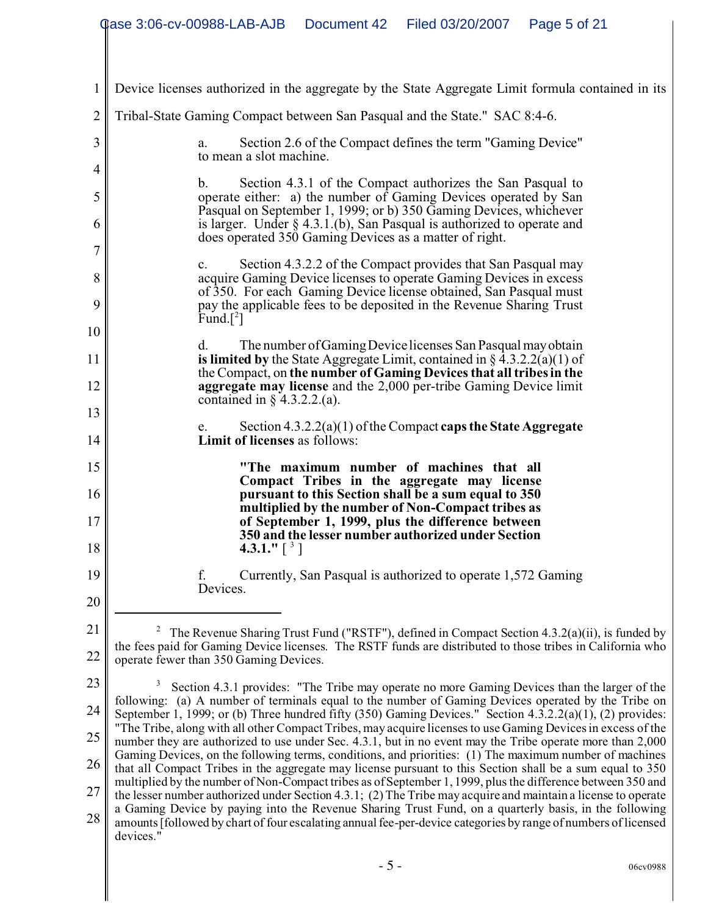|              | <b>Qase 3:06-cv-00988-LAB-AJB</b><br>Document 42<br>Filed 03/20/2007<br>Page 5 of 21                                                                                                                                                                                            |  |  |  |  |  |
|--------------|---------------------------------------------------------------------------------------------------------------------------------------------------------------------------------------------------------------------------------------------------------------------------------|--|--|--|--|--|
|              |                                                                                                                                                                                                                                                                                 |  |  |  |  |  |
| $\mathbf{1}$ | Device licenses authorized in the aggregate by the State Aggregate Limit formula contained in its                                                                                                                                                                               |  |  |  |  |  |
| 2            | Tribal-State Gaming Compact between San Pasqual and the State." SAC 8:4-6.                                                                                                                                                                                                      |  |  |  |  |  |
| 3            | Section 2.6 of the Compact defines the term "Gaming Device"<br>a.<br>to mean a slot machine.                                                                                                                                                                                    |  |  |  |  |  |
| 4            | $\mathbf{b}$ .                                                                                                                                                                                                                                                                  |  |  |  |  |  |
| 5            | Section 4.3.1 of the Compact authorizes the San Pasqual to<br>operate either: a) the number of Gaming Devices operated by San<br>Pasqual on September 1, 1999; or b) 350 Gaming Devices, whichever<br>is larger. Under $\S$ 4.3.1.(b), San Pasqual is authorized to operate and |  |  |  |  |  |
| 6            |                                                                                                                                                                                                                                                                                 |  |  |  |  |  |
| 7            | does operated 350 Gaming Devices as a matter of right.                                                                                                                                                                                                                          |  |  |  |  |  |
| 8            | Section 4.3.2.2 of the Compact provides that San Pasqual may<br>$\mathbf{c}$ .<br>acquire Gaming Device licenses to operate Gaming Devices in excess                                                                                                                            |  |  |  |  |  |
| 9            | of 350. For each Gaming Device license obtained, San Pasqual must<br>pay the applicable fees to be deposited in the Revenue Sharing Trust                                                                                                                                       |  |  |  |  |  |
| 10           | Fund. <sup>[2]</sup>                                                                                                                                                                                                                                                            |  |  |  |  |  |
| 11           | The number of Gaming Device licenses San Pasqual may obtain<br>d.<br>is limited by the State Aggregate Limit, contained in $\S 4.3.2.2(a)(1)$ of                                                                                                                                |  |  |  |  |  |
| 12           | the Compact, on the number of Gaming Devices that all tribes in the<br>aggregate may license and the 2,000 per-tribe Gaming Device limit                                                                                                                                        |  |  |  |  |  |
| 13           | contained in $\S$ 4.3.2.2.(a).                                                                                                                                                                                                                                                  |  |  |  |  |  |
| 14           | Section $4.3.2.2(a)(1)$ of the Compact caps the State Aggregate<br>e.<br><b>Limit of licenses</b> as follows:                                                                                                                                                                   |  |  |  |  |  |
| 15           | "The maximum number of machines that all                                                                                                                                                                                                                                        |  |  |  |  |  |
| 16           | Compact Tribes in the aggregate may license<br>pursuant to this Section shall be a sum equal to 350                                                                                                                                                                             |  |  |  |  |  |
| 17           | multiplied by the number of Non-Compact tribes as<br>of September 1, 1999, plus the difference between                                                                                                                                                                          |  |  |  |  |  |
| 18           | 350 and the lesser number authorized under Section<br>4.3.1." $\lceil$ <sup>3</sup> ]                                                                                                                                                                                           |  |  |  |  |  |
| 19           | Currently, San Pasqual is authorized to operate 1,572 Gaming<br>f.                                                                                                                                                                                                              |  |  |  |  |  |
| 20           | Devices.                                                                                                                                                                                                                                                                        |  |  |  |  |  |
| 21           | The Revenue Sharing Trust Fund ("RSTF"), defined in Compact Section 4.3.2(a)(ii), is funded by                                                                                                                                                                                  |  |  |  |  |  |
| 22           | the fees paid for Gaming Device licenses. The RSTF funds are distributed to those tribes in California who<br>operate fewer than 350 Gaming Devices.                                                                                                                            |  |  |  |  |  |
| 23           | Section 4.3.1 provides: "The Tribe may operate no more Gaming Devices than the larger of the                                                                                                                                                                                    |  |  |  |  |  |
| 24           | following: (a) A number of terminals equal to the number of Gaming Devices operated by the Tribe on<br>September 1, 1999; or (b) Three hundred fifty $(350)$ Gaming Devices." Section $4.3.2.2(a)(1)$ , $(2)$ provides:                                                         |  |  |  |  |  |
| 25           | "The Tribe, along with all other Compact Tribes, may acquire licenses to use Gaming Devices in excess of the<br>number they are authorized to use under Sec. 4.3.1, but in no event may the Tribe operate more than 2,000                                                       |  |  |  |  |  |
| 26           | Gaming Devices, on the following terms, conditions, and priorities: (1) The maximum number of machines<br>that all Compact Tribes in the aggregate may license pursuant to this Section shall be a sum equal to 350                                                             |  |  |  |  |  |
| 27           | multiplied by the number of Non-Compact tribes as of September 1, 1999, plus the difference between 350 and<br>the lesser number authorized under Section 4.3.1; (2) The Tribe may acquire and maintain a license to operate                                                    |  |  |  |  |  |
| 28           | a Gaming Device by paying into the Revenue Sharing Trust Fund, on a quarterly basis, in the following<br>amounts [followed by chart of four escalating annual fee-per-device categories by range of numbers of licensed<br>devices."                                            |  |  |  |  |  |
|              | $-5-$<br>06cv0988                                                                                                                                                                                                                                                               |  |  |  |  |  |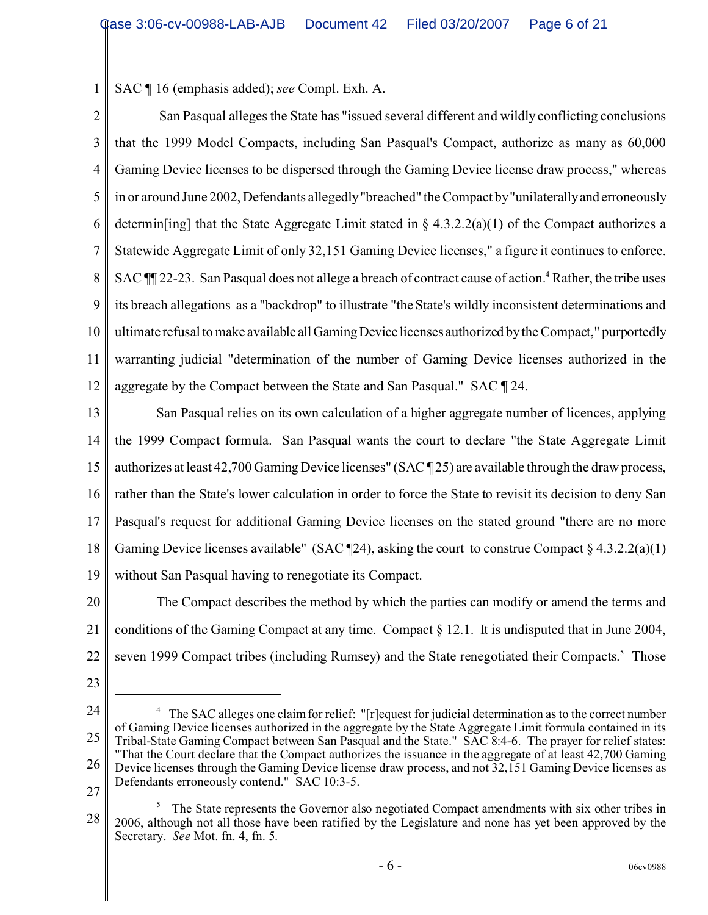1 SAC ¶ 16 (emphasis added); *see* Compl. Exh. A.

2 3 4 5 6 7 8 9 10 11 12 San Pasqual alleges the State has "issued several different and wildly conflicting conclusions that the 1999 Model Compacts, including San Pasqual's Compact, authorize as many as 60,000 Gaming Device licenses to be dispersed through the Gaming Device license draw process," whereas in or around June 2002, Defendants allegedly "breached" the Compact by "unilaterallyand erroneously determin[ing] that the State Aggregate Limit stated in § 4.3.2.2(a)(1) of the Compact authorizes a Statewide Aggregate Limit of only 32,151 Gaming Device licenses," a figure it continues to enforce. SAC  $\P$  22-23. San Pasqual does not allege a breach of contract cause of action.<sup>4</sup> Rather, the tribe uses its breach allegations as a "backdrop" to illustrate "the State's wildly inconsistent determinations and ultimate refusal to make available all Gaming Device licenses authorized by the Compact," purportedly warranting judicial "determination of the number of Gaming Device licenses authorized in the aggregate by the Compact between the State and San Pasqual." SAC ¶ 24.

13 14 15 16 17 18 19 San Pasqual relies on its own calculation of a higher aggregate number of licences, applying the 1999 Compact formula. San Pasqual wants the court to declare "the State Aggregate Limit authorizes at least 42,700 Gaming Device licenses" (SAC ¶ 25) are available through the draw process, rather than the State's lower calculation in order to force the State to revisit its decision to deny San Pasqual's request for additional Gaming Device licenses on the stated ground "there are no more Gaming Device licenses available" (SAC  $\P$ 24), asking the court to construe Compact § 4.3.2.2(a)(1) without San Pasqual having to renegotiate its Compact.

20 21 22 The Compact describes the method by which the parties can modify or amend the terms and conditions of the Gaming Compact at any time. Compact § 12.1. It is undisputed that in June 2004, seven 1999 Compact tribes (including Rumsey) and the State renegotiated their Compacts.<sup>5</sup> Those

- 23
- 24 25 26 <sup>4</sup> The SAC alleges one claim for relief: "[r]equest for judicial determination as to the correct number of Gaming Device licenses authorized in the aggregate by the State Aggregate Limit formula contained in its Tribal-State Gaming Compact between San Pasqual and the State." SAC 8:4-6. The prayer for relief states: "That the Court declare that the Compact authorizes the issuance in the aggregate of at least 42,700 Gaming Device licenses through the Gaming Device license draw process, and not 32,151 Gaming Device licenses as Defendants erroneously contend." SAC 10:3-5.
- 27

<sup>28</sup> <sup>5</sup> The State represents the Governor also negotiated Compact amendments with six other tribes in 2006, although not all those have been ratified by the Legislature and none has yet been approved by the Secretary. *See* Mot. fn. 4, fn. 5.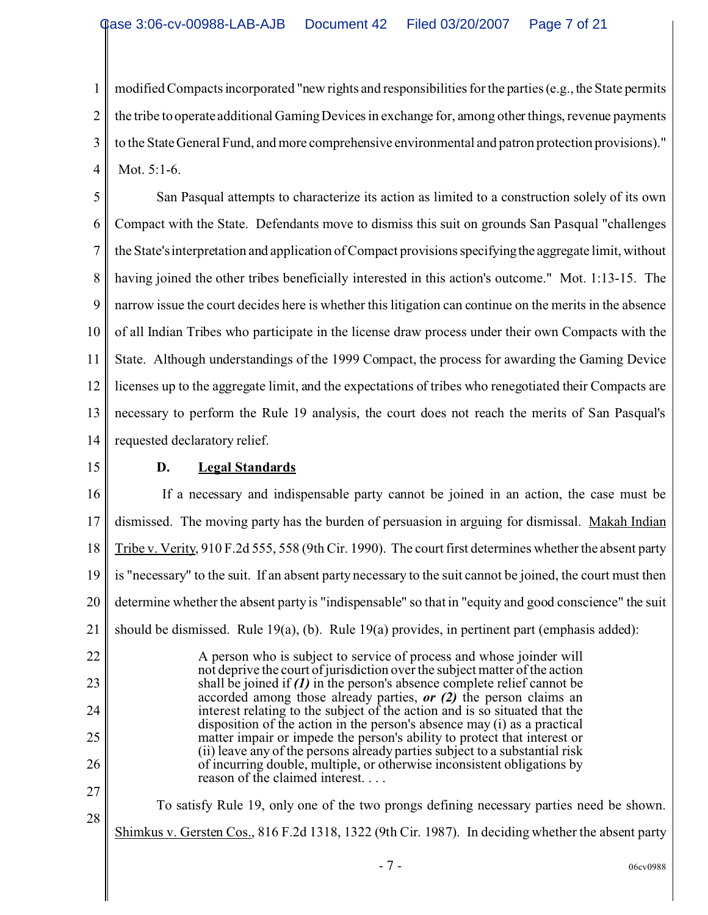1 2 3 4 modified Compacts incorporated "new rights and responsibilities for the parties (e.g., the State permits the tribe to operate additional Gaming Devices in exchange for, among other things, revenue payments to the State General Fund, and more comprehensive environmental and patron protection provisions)." Mot. 5:1-6.

5 6 7 8 9 10 11 12 13 14 San Pasqual attempts to characterize its action as limited to a construction solely of its own Compact with the State. Defendants move to dismiss this suit on grounds San Pasqual "challenges the State's interpretation and application of Compact provisions specifyingthe aggregate limit, without having joined the other tribes beneficially interested in this action's outcome." Mot. 1:13-15. The narrow issue the court decides here is whether this litigation can continue on the merits in the absence of all Indian Tribes who participate in the license draw process under their own Compacts with the State. Although understandings of the 1999 Compact, the process for awarding the Gaming Device licenses up to the aggregate limit, and the expectations of tribes who renegotiated their Compacts are necessary to perform the Rule 19 analysis, the court does not reach the merits of San Pasqual's requested declaratory relief.

15

# **D. Legal Standards**

16 17 18 19 20 21 22 23 24 25 26 27 28 If a necessary and indispensable party cannot be joined in an action, the case must be dismissed. The moving party has the burden of persuasion in arguing for dismissal. Makah Indian Tribe v. Verity, 910 F.2d 555, 558 (9th Cir. 1990). The court first determines whether the absent party is "necessary" to the suit. If an absent party necessary to the suit cannot be joined, the court must then determine whether the absent party is "indispensable" so that in "equity and good conscience" the suit should be dismissed. Rule 19(a), (b). Rule 19(a) provides, in pertinent part (emphasis added): A person who is subject to service of process and whose joinder will not deprive the court of jurisdiction over the subject matter of the action shall be joined if *(1)* in the person's absence complete relief cannot be accorded among those already parties, *or (2)* the person claims an interest relating to the subject of the action and is so situated that the disposition of the action in the person's absence may (i) as a practical matter impair or impede the person's ability to protect that interest or (ii) leave any of the persons already parties subject to a substantial risk of incurring double, multiple, or otherwise inconsistent obligations by reason of the claimed interest. . . . To satisfy Rule 19, only one of the two prongs defining necessary parties need be shown. Shimkus v. Gersten Cos., 816 F.2d 1318, 1322 (9th Cir. 1987). In deciding whether the absent party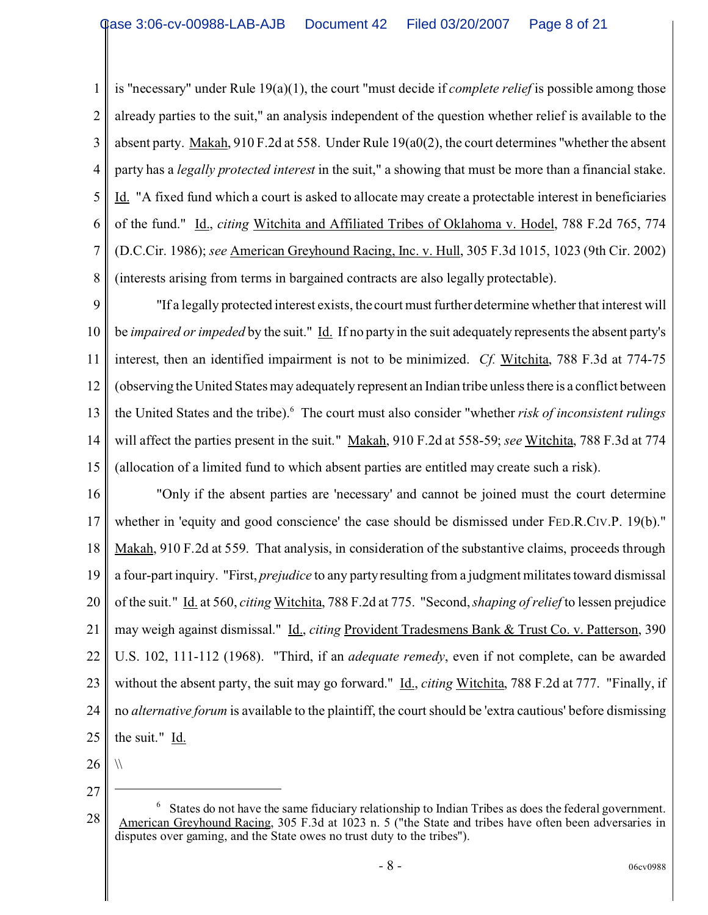1 2 3 4 5 6 7 8 is "necessary" under Rule 19(a)(1), the court "must decide if *complete relief* is possible among those already parties to the suit," an analysis independent of the question whether relief is available to the absent party. Makah, 910 F.2d at 558. Under Rule 19(a0(2), the court determines "whether the absent party has a *legally protected interest* in the suit," a showing that must be more than a financial stake. Id. "A fixed fund which a court is asked to allocate may create a protectable interest in beneficiaries of the fund." Id., *citing* Witchita and Affiliated Tribes of Oklahoma v. Hodel, 788 F.2d 765, 774 (D.C.Cir. 1986); *see* American Greyhound Racing, Inc. v. Hull, 305 F.3d 1015, 1023 (9th Cir. 2002) (interests arising from terms in bargained contracts are also legally protectable).

9 10 11 12 13 14 15 "If a legally protected interest exists, the court must further determine whether that interest will be *impaired or impeded* by the suit." Id. If no party in the suit adequately represents the absent party's interest, then an identified impairment is not to be minimized. *Cf.* Witchita, 788 F.3d at 774-75 (observing the United States may adequately represent an Indian tribe unless there is a conflict between the United States and the tribe).<sup>6</sup> The court must also consider "whether *risk of inconsistent rulings* will affect the parties present in the suit." Makah, 910 F.2d at 558-59; *see* Witchita, 788 F.3d at 774 (allocation of a limited fund to which absent parties are entitled may create such a risk).

16 17 18 19 20 21 22 23 24 25 "Only if the absent parties are 'necessary' and cannot be joined must the court determine whether in 'equity and good conscience' the case should be dismissed under FED.R.CIV.P. 19(b)." Makah, 910 F.2d at 559. That analysis, in consideration of the substantive claims, proceeds through a four-part inquiry. "First, *prejudice* to any party resulting from a judgment militates toward dismissal of the suit." Id. at 560, *citing* Witchita, 788 F.2d at 775. "Second, *shaping of relief* to lessen prejudice may weigh against dismissal." Id., *citing* Provident Tradesmens Bank & Trust Co. v. Patterson, 390 U.S. 102, 111-112 (1968). "Third, if an *adequate remedy*, even if not complete, can be awarded without the absent party, the suit may go forward." Id., *citing Witchita*, 788 F.2d at 777. "Finally, if no *alternative forum* is available to the plaintiff, the court should be 'extra cautious' before dismissing the suit." Id.

26 27

 $\sqrt{}$ 

<sup>28</sup> <sup>6</sup> States do not have the same fiduciary relationship to Indian Tribes as does the federal government. American Greyhound Racing, 305 F.3d at 1023 n. 5 ("the State and tribes have often been adversaries in disputes over gaming, and the State owes no trust duty to the tribes").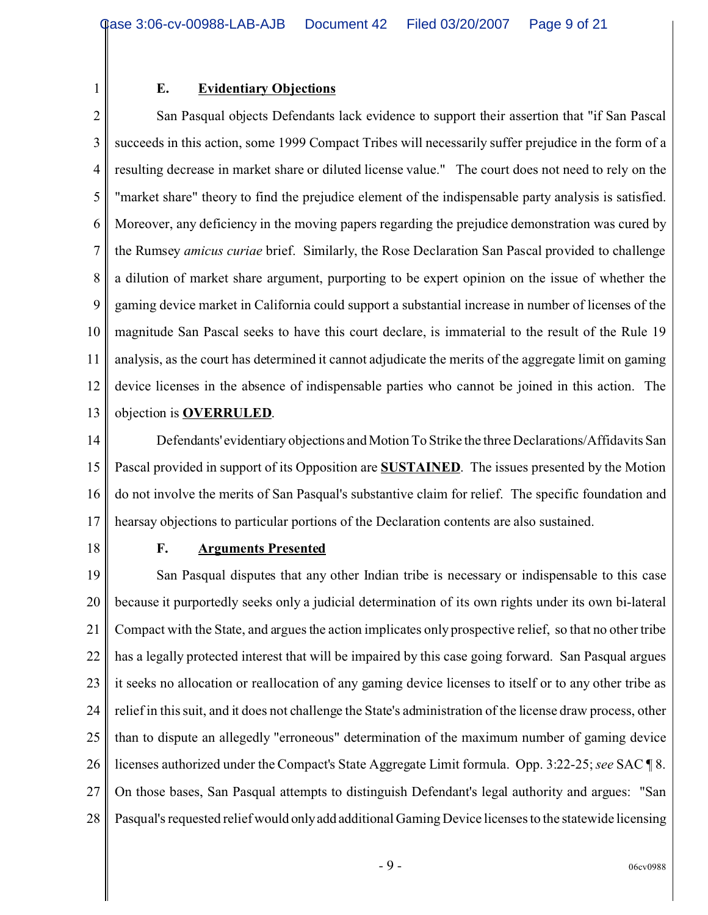#### **E. Evidentiary Objections**

2 3 4 5 6 7 8 9 10 11 12 13 San Pasqual objects Defendants lack evidence to support their assertion that "if San Pascal succeeds in this action, some 1999 Compact Tribes will necessarily suffer prejudice in the form of a resulting decrease in market share or diluted license value." The court does not need to rely on the "market share" theory to find the prejudice element of the indispensable party analysis is satisfied. Moreover, any deficiency in the moving papers regarding the prejudice demonstration was cured by the Rumsey *amicus curiae* brief. Similarly, the Rose Declaration San Pascal provided to challenge a dilution of market share argument, purporting to be expert opinion on the issue of whether the gaming device market in California could support a substantial increase in number of licenses of the magnitude San Pascal seeks to have this court declare, is immaterial to the result of the Rule 19 analysis, as the court has determined it cannot adjudicate the merits of the aggregate limit on gaming device licenses in the absence of indispensable parties who cannot be joined in this action. The objection is **OVERRULED**.

14 15 16 17 Defendants' evidentiary objections and Motion To Strike the three Declarations/Affidavits San Pascal provided in support of its Opposition are **SUSTAINED**. The issues presented by the Motion do not involve the merits of San Pasqual's substantive claim for relief. The specific foundation and hearsay objections to particular portions of the Declaration contents are also sustained.

18

1

### **F. Arguments Presented**

19 20 21 22 23 24 25 26 27 28 San Pasqual disputes that any other Indian tribe is necessary or indispensable to this case because it purportedly seeks only a judicial determination of its own rights under its own bi-lateral Compact with the State, and argues the action implicates only prospective relief, so that no other tribe has a legally protected interest that will be impaired by this case going forward. San Pasqual argues it seeks no allocation or reallocation of any gaming device licenses to itself or to any other tribe as relief in this suit, and it does not challenge the State's administration of the license draw process, other than to dispute an allegedly "erroneous" determination of the maximum number of gaming device licenses authorized under the Compact's State Aggregate Limit formula. Opp. 3:22-25; *see* SAC ¶ 8. On those bases, San Pasqual attempts to distinguish Defendant's legal authority and argues: "San Pasqual's requested relief would onlyadd additional Gaming Device licenses to the statewide licensing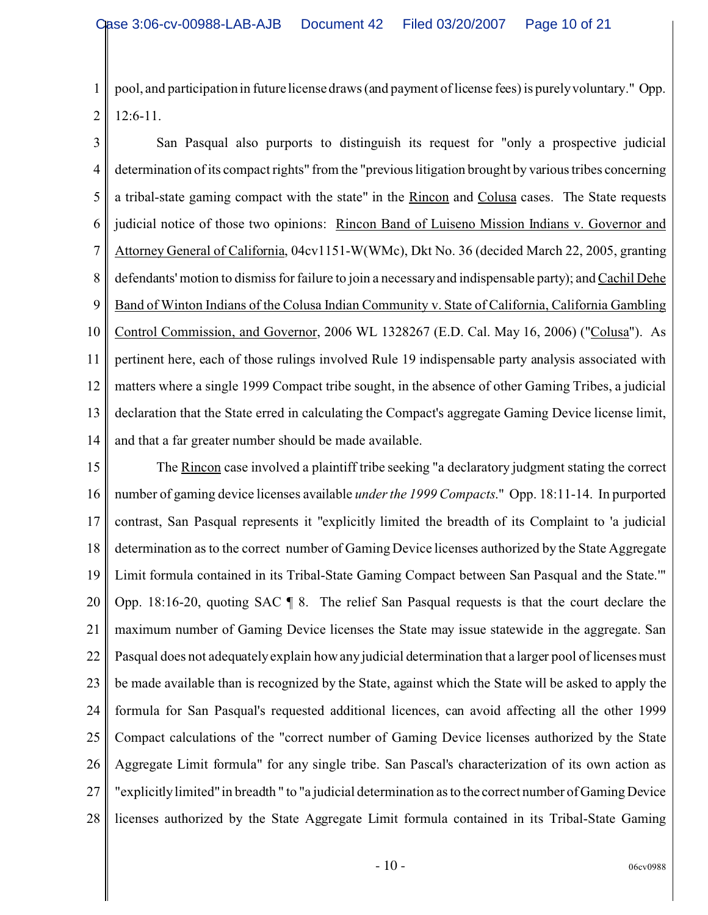1 2 pool, and participation in future license draws (and payment of license fees) is purely voluntary." Opp. 12:6-11.

3 4 5 6 7 8 9 10 11 12 13 14 San Pasqual also purports to distinguish its request for "only a prospective judicial determination of its compact rights" from the "previous litigation brought by various tribes concerning a tribal-state gaming compact with the state" in the Rincon and Colusa cases. The State requests judicial notice of those two opinions: Rincon Band of Luiseno Mission Indians v. Governor and Attorney General of California, 04cv1151-W(WMc), Dkt No. 36 (decided March 22, 2005, granting defendants' motion to dismiss for failure to join a necessary and indispensable party); and Cachil Dehe Band of Winton Indians of the Colusa Indian Community v. State of California, California Gambling Control Commission, and Governor, 2006 WL 1328267 (E.D. Cal. May 16, 2006) ("Colusa"). As pertinent here, each of those rulings involved Rule 19 indispensable party analysis associated with matters where a single 1999 Compact tribe sought, in the absence of other Gaming Tribes, a judicial declaration that the State erred in calculating the Compact's aggregate Gaming Device license limit, and that a far greater number should be made available.

15 16 17 18 19 20 21 22 23 24 25 26 27 28 The Rincon case involved a plaintiff tribe seeking "a declaratory judgment stating the correct number of gaming device licenses available *under the 1999 Compacts*." Opp. 18:11-14. In purported contrast, San Pasqual represents it "explicitly limited the breadth of its Complaint to 'a judicial determination as to the correct number of Gaming Device licenses authorized by the State Aggregate Limit formula contained in its Tribal-State Gaming Compact between San Pasqual and the State.'" Opp. 18:16-20, quoting SAC ¶ 8. The relief San Pasqual requests is that the court declare the maximum number of Gaming Device licenses the State may issue statewide in the aggregate. San Pasqual does not adequately explain how any judicial determination that a larger pool of licenses must be made available than is recognized by the State, against which the State will be asked to apply the formula for San Pasqual's requested additional licences, can avoid affecting all the other 1999 Compact calculations of the "correct number of Gaming Device licenses authorized by the State Aggregate Limit formula" for any single tribe. San Pascal's characterization of its own action as "explicitly limited" in breadth " to "a judicial determination as to the correct number of Gaming Device licenses authorized by the State Aggregate Limit formula contained in its Tribal-State Gaming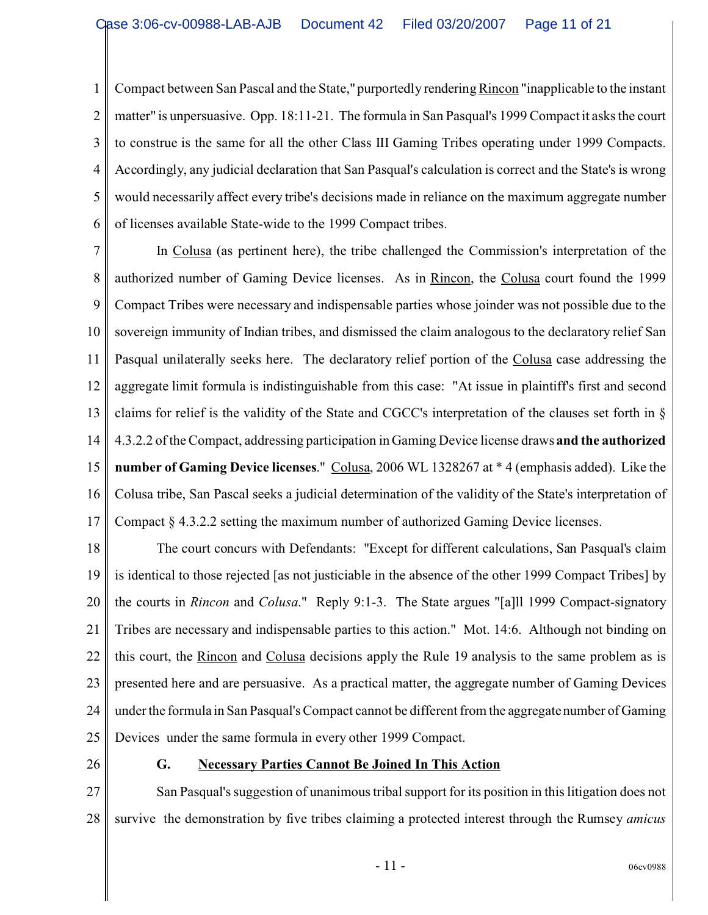1 2 3 4 5 6 Compact between San Pascal and the State," purportedly rendering Rincon "inapplicable to the instant matter" is unpersuasive. Opp. 18:11-21. The formula in San Pasqual's 1999 Compact it asks the court to construe is the same for all the other Class III Gaming Tribes operating under 1999 Compacts. Accordingly, any judicial declaration that San Pasqual's calculation is correct and the State's is wrong would necessarily affect every tribe's decisions made in reliance on the maximum aggregate number of licenses available State-wide to the 1999 Compact tribes.

7 8 9 10 11 12 13 14 15 16 17 In Colusa (as pertinent here), the tribe challenged the Commission's interpretation of the authorized number of Gaming Device licenses. As in Rincon, the Colusa court found the 1999 Compact Tribes were necessary and indispensable parties whose joinder was not possible due to the sovereign immunity of Indian tribes, and dismissed the claim analogous to the declaratory relief San Pasqual unilaterally seeks here. The declaratory relief portion of the Colusa case addressing the aggregate limit formula is indistinguishable from this case: "At issue in plaintiff's first and second claims for relief is the validity of the State and CGCC's interpretation of the clauses set forth in § 4.3.2.2 of the Compact, addressing participation in Gaming Device license draws **and the authorized number of Gaming Device licenses**." Colusa, 2006 WL 1328267 at \* 4 (emphasis added). Like the Colusa tribe, San Pascal seeks a judicial determination of the validity of the State's interpretation of Compact § 4.3.2.2 setting the maximum number of authorized Gaming Device licenses.

18 19 20 21 22 23 24 25 The court concurs with Defendants: "Except for different calculations, San Pasqual's claim is identical to those rejected [as not justiciable in the absence of the other 1999 Compact Tribes] by the courts in *Rincon* and *Colusa*." Reply 9:1-3. The State argues "[a]ll 1999 Compact-signatory Tribes are necessary and indispensable parties to this action." Mot. 14:6. Although not binding on this court, the Rincon and Colusa decisions apply the Rule 19 analysis to the same problem as is presented here and are persuasive. As a practical matter, the aggregate number of Gaming Devices under the formula in San Pasqual's Compact cannot be different from the aggregate number of Gaming Devices under the same formula in every other 1999 Compact.

26

### **G. Necessary Parties Cannot Be Joined In This Action**

27 28 San Pasqual's suggestion of unanimous tribal support for its position in this litigation does not survive the demonstration by five tribes claiming a protected interest through the Rumsey *amicus*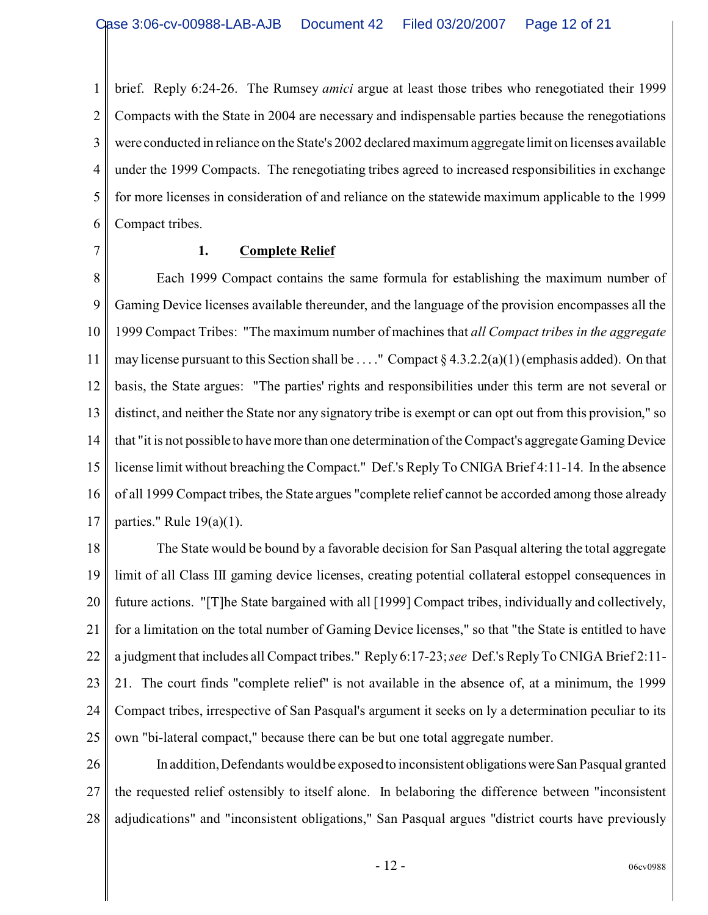1 2 3 4 5 6 brief. Reply 6:24-26. The Rumsey *amici* argue at least those tribes who renegotiated their 1999 Compacts with the State in 2004 are necessary and indispensable parties because the renegotiations were conducted in reliance on the State's 2002 declared maximum aggregatelimit on licenses available under the 1999 Compacts. The renegotiating tribes agreed to increased responsibilities in exchange for more licenses in consideration of and reliance on the statewide maximum applicable to the 1999 Compact tribes.

7

### **1. Complete Relief**

8 9 10 11 12 13 14 15 16 17 Each 1999 Compact contains the same formula for establishing the maximum number of Gaming Device licenses available thereunder, and the language of the provision encompasses all the 1999 Compact Tribes: "The maximum number of machines that *all Compact tribes in the aggregate* may license pursuant to this Section shall be . . . ." Compact § 4.3.2.2(a)(1) (emphasis added). On that basis, the State argues: "The parties' rights and responsibilities under this term are not several or distinct, and neither the State nor any signatory tribe is exempt or can opt out from this provision," so that "it is not possible to have more than one determination of the Compact's aggregate Gaming Device license limit without breaching the Compact." Def.'s Reply To CNIGA Brief 4:11-14. In the absence of all 1999 Compact tribes, the State argues "complete relief cannot be accorded among those already parties." Rule  $19(a)(1)$ .

18 19 20 21 22 23 24 25 The State would be bound by a favorable decision for San Pasqual altering the total aggregate limit of all Class III gaming device licenses, creating potential collateral estoppel consequences in future actions. "[T]he State bargained with all [1999] Compact tribes, individually and collectively, for a limitation on the total number of Gaming Device licenses," so that "the State is entitled to have a judgment that includes all Compact tribes." Reply 6:17-23; *see* Def.'s Reply To CNIGA Brief 2:11- 21. The court finds "complete relief" is not available in the absence of, at a minimum, the 1999 Compact tribes, irrespective of San Pasqual's argument it seeks on ly a determination peculiar to its own "bi-lateral compact," because there can be but one total aggregate number.

26 27 28 In addition, Defendants would be exposed to inconsistent obligationswereSan Pasqual granted the requested relief ostensibly to itself alone. In belaboring the difference between "inconsistent adjudications" and "inconsistent obligations," San Pasqual argues "district courts have previously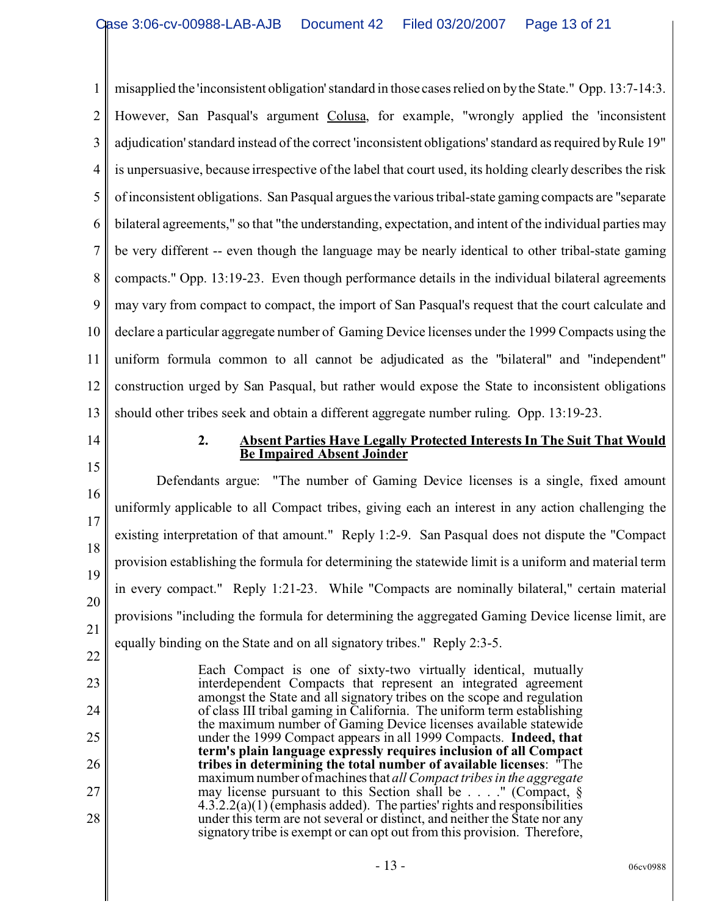1 2 3 4 5 6 7 8 9 10 11 12 13 misapplied the 'inconsistent obligation' standard in those cases relied on by the State." Opp. 13:7-14:3. However, San Pasqual's argument Colusa, for example, "wrongly applied the 'inconsistent adjudication' standard instead of the correct 'inconsistent obligations' standard as required by Rule 19" is unpersuasive, because irrespective of the label that court used, its holding clearly describes the risk of inconsistent obligations. San Pasqual argues the various tribal-state gaming compacts are "separate bilateral agreements," so that "the understanding, expectation, and intent of the individual parties may be very different -- even though the language may be nearly identical to other tribal-state gaming compacts." Opp. 13:19-23. Even though performance details in the individual bilateral agreements may vary from compact to compact, the import of San Pasqual's request that the court calculate and declare a particular aggregate number of Gaming Device licenses under the 1999 Compacts using the uniform formula common to all cannot be adjudicated as the "bilateral" and "independent" construction urged by San Pasqual, but rather would expose the State to inconsistent obligations should other tribes seek and obtain a different aggregate number ruling. Opp. 13:19-23.

- 14
- 15

22

23

24

25

26

27

28

#### **2. Absent Parties Have Legally Protected Interests In The Suit That Would Be Impaired Absent Joinder**

16 17 18 19 20 21 Defendants argue: "The number of Gaming Device licenses is a single, fixed amount uniformly applicable to all Compact tribes, giving each an interest in any action challenging the existing interpretation of that amount." Reply 1:2-9. San Pasqual does not dispute the "Compact provision establishing the formula for determining the statewide limit is a uniform and material term in every compact." Reply 1:21-23. While "Compacts are nominally bilateral," certain material provisions "including the formula for determining the aggregated Gaming Device license limit, are equally binding on the State and on all signatory tribes." Reply 2:3-5.

Each Compact is one of sixty-two virtually identical, mutually interdependent Compacts that represent an integrated agreement amongst the State and all signatory tribes on the scope and regulation of class III tribal gaming in California. The uniform term establishing the maximum number of Gaming Device licenses available statewide under the 1999 Compact appears in all 1999 Compacts. **Indeed, that term's plain language expressly requires inclusion of all Compact tribes in determining the total number of available licenses**: "The maximum number of machines that *all Compact tribes in the aggregate* may license pursuant to this Section shall be . . . ." (Compact, §  $4.3.2.2(a)(1)$  (emphasis added). The parties' rights and responsibilities under this term are not several or distinct, and neither the State nor any signatory tribe is exempt or can opt out from this provision. Therefore,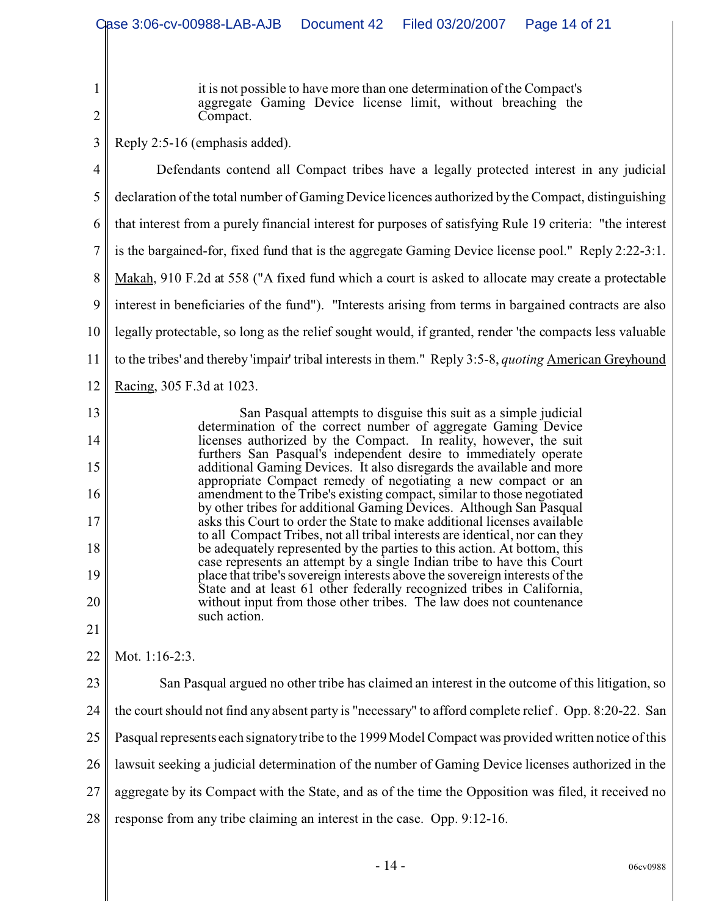it is not possible to have more than one determination of the Compact's aggregate Gaming Device license limit, without breaching the Compact.

2 3

14

15

16

17

18

19

20

21

1

Reply 2:5-16 (emphasis added).

4 5 6 7 8 9 10 11 12 13 Defendants contend all Compact tribes have a legally protected interest in any judicial declaration of the total number of Gaming Device licences authorized by the Compact, distinguishing that interest from a purely financial interest for purposes of satisfying Rule 19 criteria: "the interest is the bargained-for, fixed fund that is the aggregate Gaming Device license pool." Reply 2:22-3:1. Makah, 910 F.2d at 558 ("A fixed fund which a court is asked to allocate may create a protectable interest in beneficiaries of the fund"). "Interests arising from terms in bargained contracts are also legally protectable, so long as the relief sought would, if granted, render 'the compacts less valuable to the tribes' and thereby 'impair' tribal interests in them." Reply 3:5-8, *quoting* American Greyhound Racing, 305 F.3d at 1023.

San Pasqual attempts to disguise this suit as a simple judicial determination of the correct number of aggregate Gaming Device licenses authorized by the Compact. In reality, however, the suit furthers San Pasqual's independent desire to immediately operate additional Gaming Devices. It also disregards the available and more appropriate Compact remedy of negotiating a new compact or an amendment to the Tribe's existing compact, similar to those negotiated by other tribes for additional Gaming Devices. Although San Pasqual asks this Court to order the State to make additional licenses available to all Compact Tribes, not all tribal interests are identical, nor can they be adequately represented by the parties to this action. At bottom, this case represents an attempt by a single Indian tribe to have this Court place that tribe's sovereign interests above the sovereign interests of the State and at least 61 other federally recognized tribes in California, without input from those other tribes. The law does not countenance such action.

22 Mot. 1:16-2:3.

23 24 25 26 27 28 San Pasqual argued no other tribe has claimed an interest in the outcome of this litigation, so the court should not find any absent party is "necessary" to afford complete relief . Opp. 8:20-22. San Pasqual represents each signatory tribe to the 1999 Model Compact was provided written notice of this lawsuit seeking a judicial determination of the number of Gaming Device licenses authorized in the aggregate by its Compact with the State, and as of the time the Opposition was filed, it received no response from any tribe claiming an interest in the case. Opp. 9:12-16.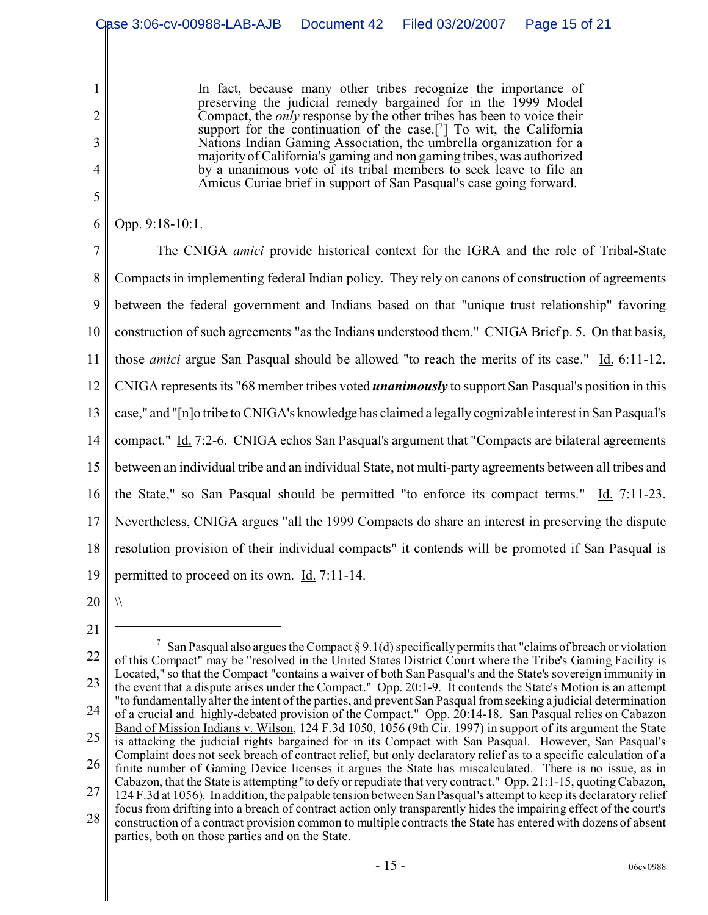In fact, because many other tribes recognize the importance of preserving the judicial remedy bargained for in the 1999 Model Compact, the *only* response by the other tribes has been to voice their support for the continuation of the case.<sup>[7]</sup> To wit, the California Nations Indian Gaming Association, the umbrella organization for a majority of California's gaming and non gaming tribes, was authorized by a unanimous vote of its tribal members to seek leave to file an Amicus Curiae brief in support of San Pasqual's case going forward.

## Opp. 9:18-10:1.

1

2

3

4

5

6

7 8 9 10 11 12 13 14 15 16 17 18 19 The CNIGA *amici* provide historical context for the IGRA and the role of Tribal-State Compacts in implementing federal Indian policy. They rely on canons of construction of agreements between the federal government and Indians based on that "unique trust relationship" favoring construction of such agreements "as the Indians understood them." CNIGA Brief p. 5. On that basis, those *amici* argue San Pasqual should be allowed "to reach the merits of its case." Id. 6:11-12. CNIGA represents its "68 member tribes voted *unanimously* to support San Pasqual's position in this case," and "[n]o tribe to CNIGA's knowledge has claimed a legally cognizable interest in San Pasqual's compact." Id. 7:2-6. CNIGA echos San Pasqual's argument that "Compacts are bilateral agreements between an individual tribe and an individual State, not multi-party agreements between all tribes and the State," so San Pasqual should be permitted "to enforce its compact terms."  $\underline{Id}$ . 7:11-23. Nevertheless, CNIGA argues "all the 1999 Compacts do share an interest in preserving the dispute resolution provision of their individual compacts" it contends will be promoted if San Pasqual is permitted to proceed on its own. Id. 7:11-14.

20

 $\sqrt{}$ 

<sup>21</sup>

<sup>22</sup> 23 24 25 26 27 28 <sup>7</sup> San Pasqual also argues the Compact § 9.1(d) specifically permits that "claims of breach or violation of this Compact" may be "resolved in the United States District Court where the Tribe's Gaming Facility is Located," so that the Compact "contains a waiver of both San Pasqual's and the State's sovereign immunity in the event that a dispute arises under the Compact." Opp. 20:1-9. It contends the State's Motion is an attempt "to fundamentally alter the intent of the parties, and prevent San Pasqual from seeking a judicial determination of a crucial and highly-debated provision of the Compact." Opp. 20:14-18. San Pasqual relies on Cabazon Band of Mission Indians v. Wilson, 124 F.3d 1050, 1056 (9th Cir. 1997) in support of its argument the State is attacking the judicial rights bargained for in its Compact with San Pasqual. However, San Pasqual's Complaint does not seek breach of contract relief, but only declaratory relief as to a specific calculation of a finite number of Gaming Device licenses it argues the State has miscalculated. There is no issue, as in Cabazon, that the State is attempting "to defy or repudiate that very contract." Opp. 21:1-15, quoting Cabazon, 124 F.3d at 1056). In addition, the palpable tension between San Pasqual's attempt to keep its declaratory relief focus from drifting into a breach of contract action only transparently hides the impairing effect of the court's construction of a contract provision common to multiple contracts the State has entered with dozens of absent parties, both on those parties and on the State.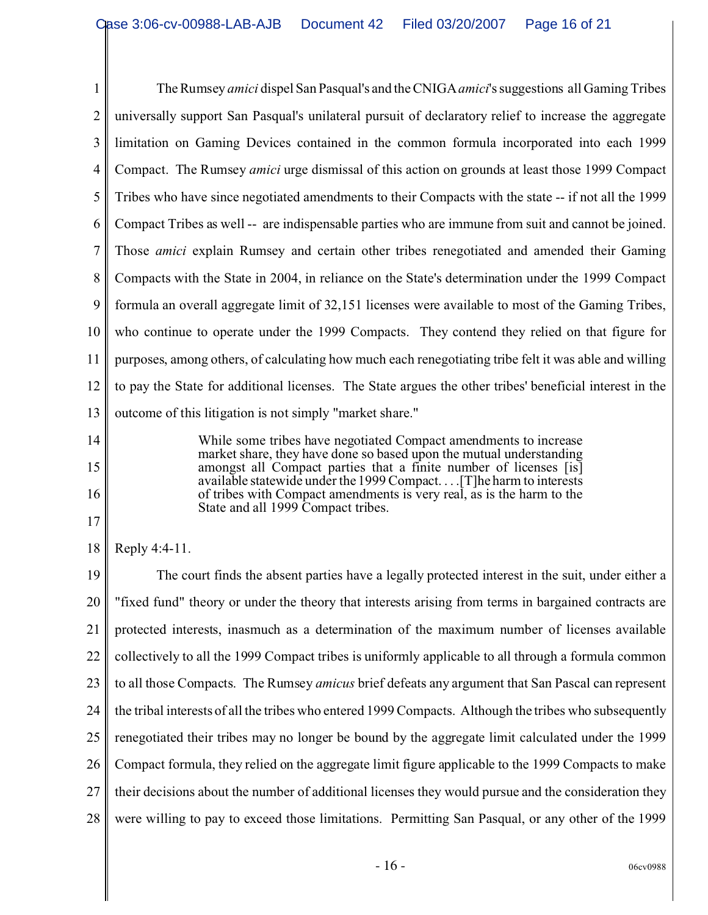1 2 3 4 5 6 7 8 9 10 11 12 13 The Rumsey *amici* dispel San Pasqual's and the CNIGA*amici*'s suggestions all Gaming Tribes universally support San Pasqual's unilateral pursuit of declaratory relief to increase the aggregate limitation on Gaming Devices contained in the common formula incorporated into each 1999 Compact. The Rumsey *amici* urge dismissal of this action on grounds at least those 1999 Compact Tribes who have since negotiated amendments to their Compacts with the state -- if not all the 1999 Compact Tribes as well -- are indispensable parties who are immune from suit and cannot be joined. Those *amici* explain Rumsey and certain other tribes renegotiated and amended their Gaming Compacts with the State in 2004, in reliance on the State's determination under the 1999 Compact formula an overall aggregate limit of 32,151 licenses were available to most of the Gaming Tribes, who continue to operate under the 1999 Compacts. They contend they relied on that figure for purposes, among others, of calculating how much each renegotiating tribe felt it was able and willing to pay the State for additional licenses. The State argues the other tribes' beneficial interest in the outcome of this litigation is not simply "market share."

> While some tribes have negotiated Compact amendments to increase market share, they have done so based upon the mutual understanding amongst all Compact parties that a finite number of licenses [is] available statewide under the 1999 Compact. . . .[T]he harm to interests of tribes with Compact amendments is very real, as is the harm to the State and all 1999 Compact tribes.

18 Reply 4:4-11.

14

15

16

17

19 20 21 22 23 24 25 26 27 28 The court finds the absent parties have a legally protected interest in the suit, under either a "fixed fund" theory or under the theory that interests arising from terms in bargained contracts are protected interests, inasmuch as a determination of the maximum number of licenses available collectively to all the 1999 Compact tribes is uniformly applicable to all through a formula common to all those Compacts. The Rumsey *amicus* brief defeats any argument that San Pascal can represent the tribal interests of all the tribes who entered 1999 Compacts. Although the tribes who subsequently renegotiated their tribes may no longer be bound by the aggregate limit calculated under the 1999 Compact formula, they relied on the aggregate limit figure applicable to the 1999 Compacts to make their decisions about the number of additional licenses they would pursue and the consideration they were willing to pay to exceed those limitations. Permitting San Pasqual, or any other of the 1999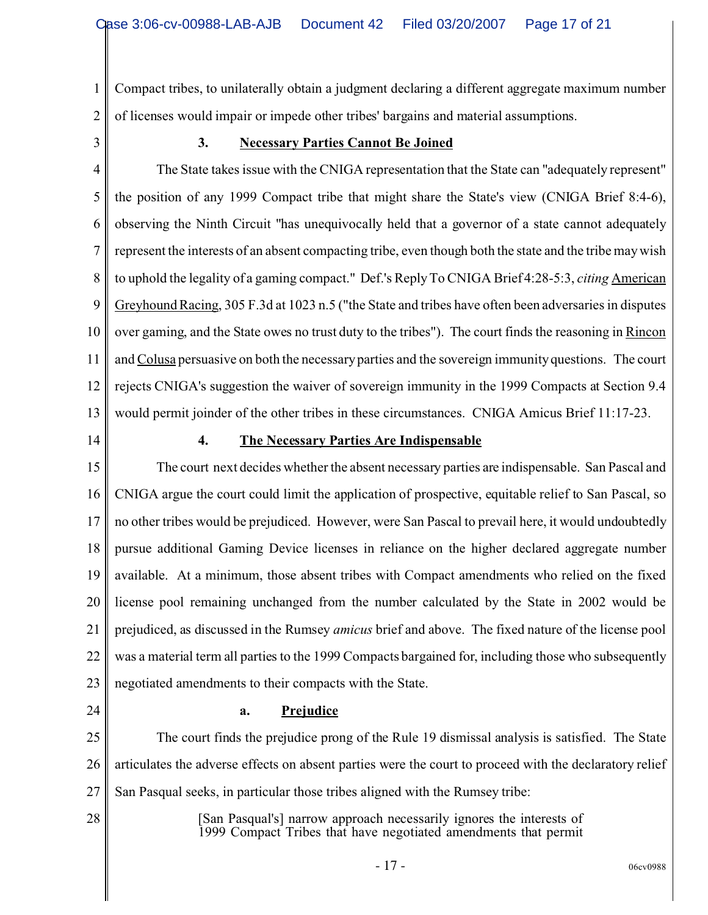1 2 Compact tribes, to unilaterally obtain a judgment declaring a different aggregate maximum number of licenses would impair or impede other tribes' bargains and material assumptions.

3

#### **3. Necessary Parties Cannot Be Joined**

4 5 6 7 8 9 10 11 12 13 The State takes issue with the CNIGA representation that the State can "adequately represent" the position of any 1999 Compact tribe that might share the State's view (CNIGA Brief 8:4-6), observing the Ninth Circuit "has unequivocally held that a governor of a state cannot adequately represent the interests of an absent compacting tribe, even though both the state and the tribe may wish to uphold the legality of a gaming compact." Def.'s Reply To CNIGA Brief 4:28-5:3, *citing* American Greyhound Racing, 305 F.3d at 1023 n.5 ("the State and tribes have often been adversaries in disputes over gaming, and the State owes no trust duty to the tribes"). The court finds the reasoning in Rincon andColusa persuasive on both the necessary parties and the sovereign immunity questions. The court rejects CNIGA's suggestion the waiver of sovereign immunity in the 1999 Compacts at Section 9.4 would permit joinder of the other tribes in these circumstances. CNIGA Amicus Brief 11:17-23.

14

### **4. The Necessary Parties Are Indispensable**

15 16 17 18 19 20 21 22 23 The court next decides whether the absent necessary parties are indispensable. San Pascal and CNIGA argue the court could limit the application of prospective, equitable relief to San Pascal, so no other tribes would be prejudiced. However, were San Pascal to prevail here, it would undoubtedly pursue additional Gaming Device licenses in reliance on the higher declared aggregate number available. At a minimum, those absent tribes with Compact amendments who relied on the fixed license pool remaining unchanged from the number calculated by the State in 2002 would be prejudiced, as discussed in the Rumsey *amicus* brief and above. The fixed nature of the license pool was a material term all parties to the 1999 Compacts bargained for, including those who subsequently negotiated amendments to their compacts with the State.

24

#### **a. Prejudice**

25 26 27 The court finds the prejudice prong of the Rule 19 dismissal analysis is satisfied. The State articulates the adverse effects on absent parties were the court to proceed with the declaratory relief San Pasqual seeks, in particular those tribes aligned with the Rumsey tribe:

28

[San Pasqual's] narrow approach necessarily ignores the interests of 1999 Compact Tribes that have negotiated amendments that permit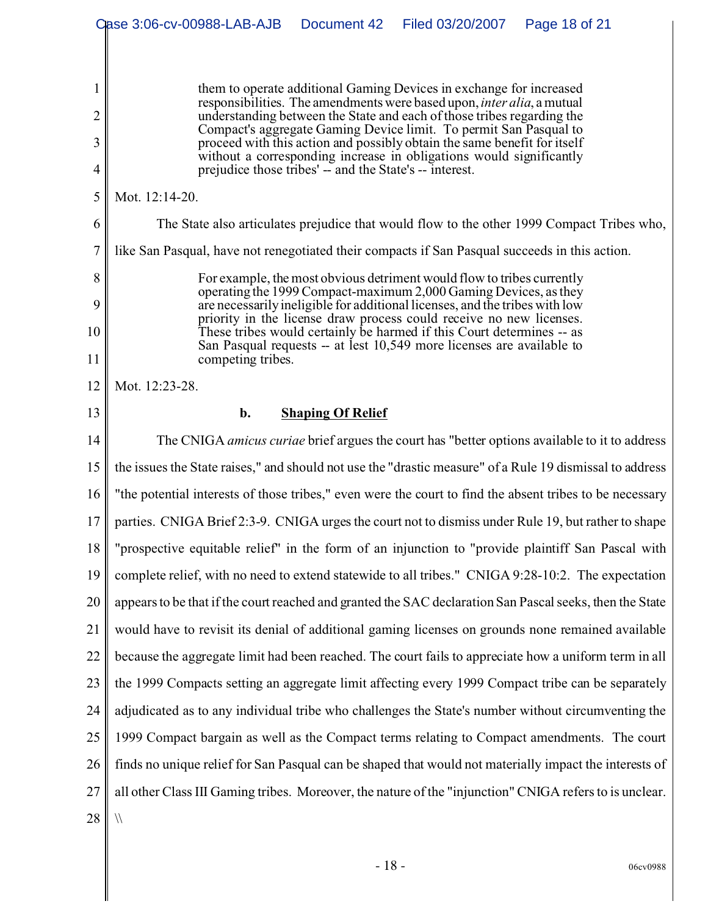|                | Case 3:06-cv-00988-LAB-AJB<br>Filed 03/20/2007<br>Document 42<br>Page 18 of 21                                                                                                                                                  |  |  |  |  |  |
|----------------|---------------------------------------------------------------------------------------------------------------------------------------------------------------------------------------------------------------------------------|--|--|--|--|--|
|                |                                                                                                                                                                                                                                 |  |  |  |  |  |
| 1              | them to operate additional Gaming Devices in exchange for increased<br>responsibilities. The amendments were based upon, <i>inter alia</i> , a mutual<br>understanding between the State and each of those tribes regarding the |  |  |  |  |  |
| $\overline{2}$ |                                                                                                                                                                                                                                 |  |  |  |  |  |
| 3              | Compact's aggregate Gaming Device limit. To permit San Pasqual to<br>proceed with this action and possibly obtain the same benefit for itself                                                                                   |  |  |  |  |  |
| 4              | without a corresponding increase in obligations would significantly<br>prejudice those tribes' -- and the State's -- interest.                                                                                                  |  |  |  |  |  |
| 5              | Mot. 12:14-20.                                                                                                                                                                                                                  |  |  |  |  |  |
| 6              | The State also articulates prejudice that would flow to the other 1999 Compact Tribes who,                                                                                                                                      |  |  |  |  |  |
| $\overline{7}$ | like San Pasqual, have not renegotiated their compacts if San Pasqual succeeds in this action.                                                                                                                                  |  |  |  |  |  |
| 8              | For example, the most obvious detriment would flow to tribes currently                                                                                                                                                          |  |  |  |  |  |
| 9              | operating the 1999 Compact-maximum 2,000 Gaming Devices, as they<br>are necessarily ineligible for additional licenses, and the tribes with low                                                                                 |  |  |  |  |  |
| 10             | priority in the license draw process could receive no new licenses.<br>These tribes would certainly be harmed if this Court determines -- as<br>San Pasqual requests -- at lest 10,549 more licenses are available to           |  |  |  |  |  |
| 11             | competing tribes.                                                                                                                                                                                                               |  |  |  |  |  |
| 12             | Mot. 12:23-28.                                                                                                                                                                                                                  |  |  |  |  |  |
| 13             | <b>Shaping Of Relief</b><br>b.                                                                                                                                                                                                  |  |  |  |  |  |
| 14             | The CNIGA amicus curiae brief argues the court has "better options available to it to address                                                                                                                                   |  |  |  |  |  |
| 15             | the issues the State raises," and should not use the "drastic measure" of a Rule 19 dismissal to address                                                                                                                        |  |  |  |  |  |
| 16             | "the potential interests of those tribes," even were the court to find the absent tribes to be necessary                                                                                                                        |  |  |  |  |  |
| 17             | parties. CNIGA Brief 2:3-9. CNIGA urges the court not to dismiss under Rule 19, but rather to shape                                                                                                                             |  |  |  |  |  |
| 18             | "prospective equitable relief" in the form of an injunction to "provide plaintiff San Pascal with                                                                                                                               |  |  |  |  |  |
| 19             | complete relief, with no need to extend statewide to all tribes." CNIGA 9:28-10:2. The expectation                                                                                                                              |  |  |  |  |  |
| 20             | appears to be that if the court reached and granted the SAC declaration San Pascal seeks, then the State                                                                                                                        |  |  |  |  |  |
| 21             | would have to revisit its denial of additional gaming licenses on grounds none remained available                                                                                                                               |  |  |  |  |  |
| 22             | because the aggregate limit had been reached. The court fails to appreciate how a uniform term in all                                                                                                                           |  |  |  |  |  |
| 23             | the 1999 Compacts setting an aggregate limit affecting every 1999 Compact tribe can be separately                                                                                                                               |  |  |  |  |  |
| 24             | adjudicated as to any individual tribe who challenges the State's number without circumventing the                                                                                                                              |  |  |  |  |  |
| 25             | 1999 Compact bargain as well as the Compact terms relating to Compact amendments. The court                                                                                                                                     |  |  |  |  |  |
| 26             | finds no unique relief for San Pasqual can be shaped that would not materially impact the interests of                                                                                                                          |  |  |  |  |  |
| 27             | all other Class III Gaming tribes. Moreover, the nature of the "injunction" CNIGA refers to is unclear.                                                                                                                         |  |  |  |  |  |
| 28             | $\sqrt{}$                                                                                                                                                                                                                       |  |  |  |  |  |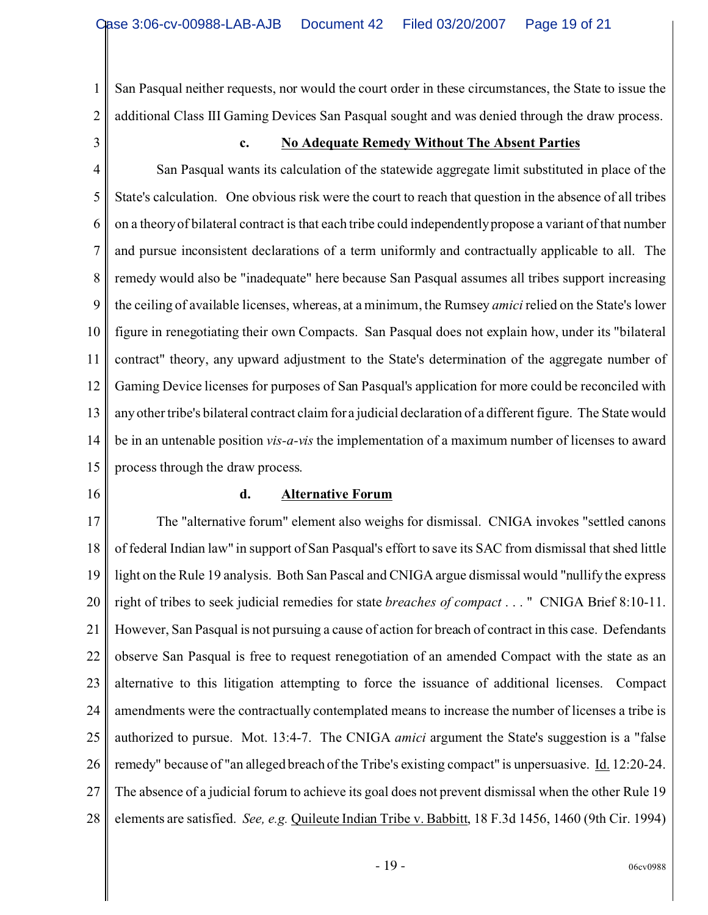1 2 San Pasqual neither requests, nor would the court order in these circumstances, the State to issue the additional Class III Gaming Devices San Pasqual sought and was denied through the draw process.

3

#### **c. No Adequate Remedy Without The Absent Parties**

4 5 6 7 8 9 10 11 12 13 14 15 San Pasqual wants its calculation of the statewide aggregate limit substituted in place of the State's calculation. One obvious risk were the court to reach that question in the absence of all tribes on a theory of bilateral contract is that each tribe could independently propose a variant of that number and pursue inconsistent declarations of a term uniformly and contractually applicable to all. The remedy would also be "inadequate" here because San Pasqual assumes all tribes support increasing the ceiling of available licenses, whereas, at a minimum, the Rumsey *amici* relied on the State's lower figure in renegotiating their own Compacts. San Pasqual does not explain how, under its "bilateral contract" theory, any upward adjustment to the State's determination of the aggregate number of Gaming Device licenses for purposes of San Pasqual's application for more could be reconciled with any other tribe's bilateral contract claim for a judicial declaration of a different figure. The State would be in an untenable position *vis-a-vis* the implementation of a maximum number of licenses to award process through the draw process.

16

#### **d. Alternative Forum**

17 18 19 20 21 22 23 24 25 26 27 28 The "alternative forum" element also weighs for dismissal. CNIGA invokes "settled canons of federal Indian law" in support of San Pasqual's effort to save its SAC from dismissal that shed little light on the Rule 19 analysis. Both San Pascal and CNIGA argue dismissal would "nullify the express right of tribes to seek judicial remedies for state *breaches of compact* . . . " CNIGA Brief 8:10-11. However, San Pasqual is not pursuing a cause of action for breach of contract in this case. Defendants observe San Pasqual is free to request renegotiation of an amended Compact with the state as an alternative to this litigation attempting to force the issuance of additional licenses. Compact amendments were the contractually contemplated means to increase the number of licenses a tribe is authorized to pursue. Mot. 13:4-7. The CNIGA *amici* argument the State's suggestion is a "false remedy" because of "an alleged breach of the Tribe's existing compact" is unpersuasive. Id. 12:20-24. The absence of a judicial forum to achieve its goal does not prevent dismissal when the other Rule 19 elements are satisfied. *See, e.g.* Quileute Indian Tribe v. Babbitt, 18 F.3d 1456, 1460 (9th Cir. 1994)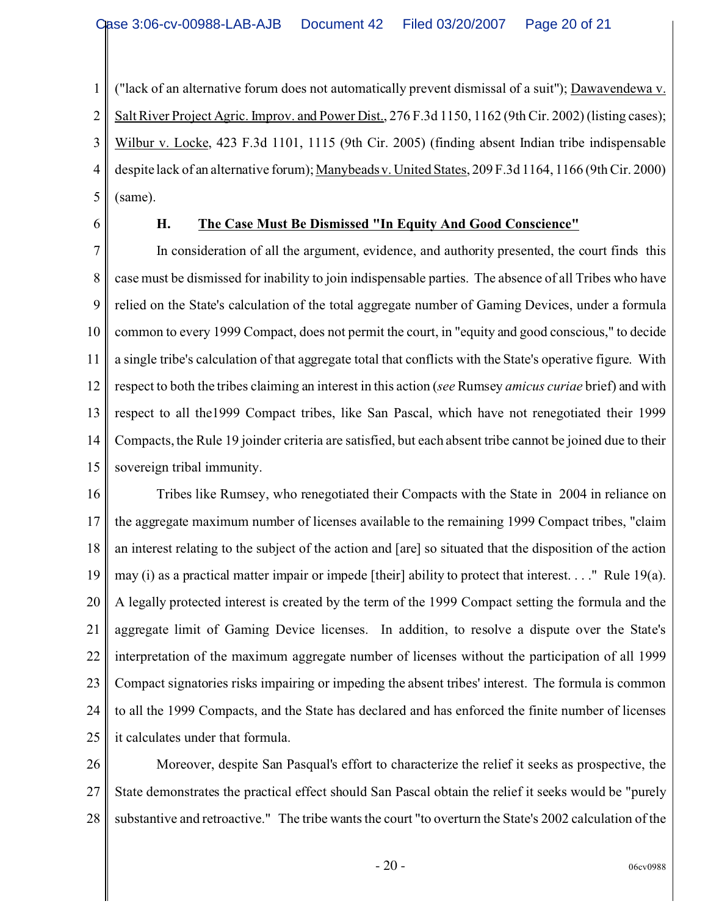1 2 3 4 5 ("lack of an alternative forum does not automatically prevent dismissal of a suit"); Dawavendewa v. Salt River Project Agric. Improv. and Power Dist., 276 F.3d 1150, 1162 (9th Cir. 2002) (listing cases); Wilbur v. Locke, 423 F.3d 1101, 1115 (9th Cir. 2005) (finding absent Indian tribe indispensable despite lack of an alternative forum); Manybeads v. United States, 209 F.3d 1164, 1166 (9th Cir. 2000) (same).

6

# **H. The Case Must Be Dismissed "In Equity And Good Conscience"**

7 8 9 10 11 12 13 14 15 In consideration of all the argument, evidence, and authority presented, the court finds this case must be dismissed for inability to join indispensable parties. The absence of all Tribes who have relied on the State's calculation of the total aggregate number of Gaming Devices, under a formula common to every 1999 Compact, does not permit the court, in "equity and good conscious," to decide a single tribe's calculation of that aggregate total that conflicts with the State's operative figure. With respect to both the tribes claiming an interest in this action (*see* Rumsey *amicus curiae* brief) and with respect to all the1999 Compact tribes, like San Pascal, which have not renegotiated their 1999 Compacts, the Rule 19 joinder criteria are satisfied, but each absent tribe cannot be joined due to their sovereign tribal immunity.

16 17 18 19 20 21 22 23 24 25 Tribes like Rumsey, who renegotiated their Compacts with the State in 2004 in reliance on the aggregate maximum number of licenses available to the remaining 1999 Compact tribes, "claim an interest relating to the subject of the action and [are] so situated that the disposition of the action may (i) as a practical matter impair or impede [their] ability to protect that interest. . . ." Rule 19(a). A legally protected interest is created by the term of the 1999 Compact setting the formula and the aggregate limit of Gaming Device licenses. In addition, to resolve a dispute over the State's interpretation of the maximum aggregate number of licenses without the participation of all 1999 Compact signatories risks impairing or impeding the absent tribes' interest. The formula is common to all the 1999 Compacts, and the State has declared and has enforced the finite number of licenses it calculates under that formula.

26 27 28 Moreover, despite San Pasqual's effort to characterize the relief it seeks as prospective, the State demonstrates the practical effect should San Pascal obtain the relief it seeks would be "purely substantive and retroactive." The tribe wants the court "to overturn the State's 2002 calculation of the